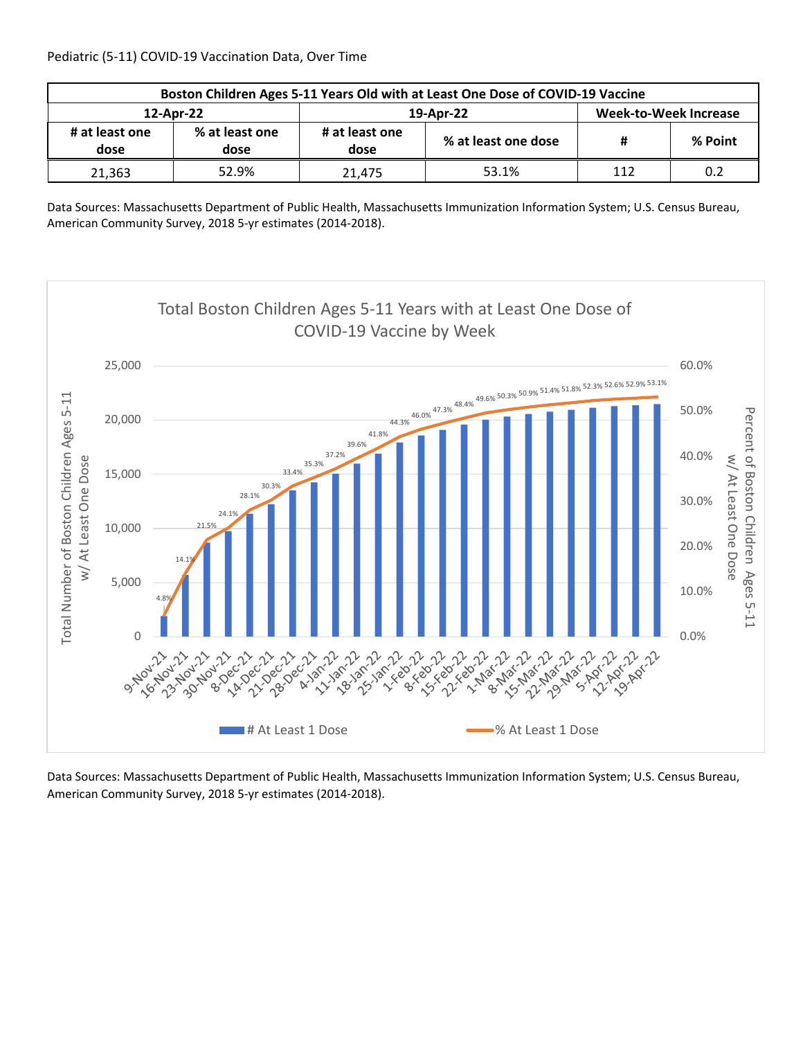| Boston Children Ages 5-11 Years Old with at Least One Dose of COVID-19 Vaccine |                        |                        |                     |                       |         |  |  |
|--------------------------------------------------------------------------------|------------------------|------------------------|---------------------|-----------------------|---------|--|--|
| 12-Apr-22                                                                      |                        |                        | 19-Apr-22           | Week-to-Week Increase |         |  |  |
| # at least one<br>dose                                                         | % at least one<br>dose | # at least one<br>dose | % at least one dose | #                     | % Point |  |  |
| 21.363                                                                         | 52.9%                  | 21.475                 | 53.1%               | 112                   | 0.2     |  |  |

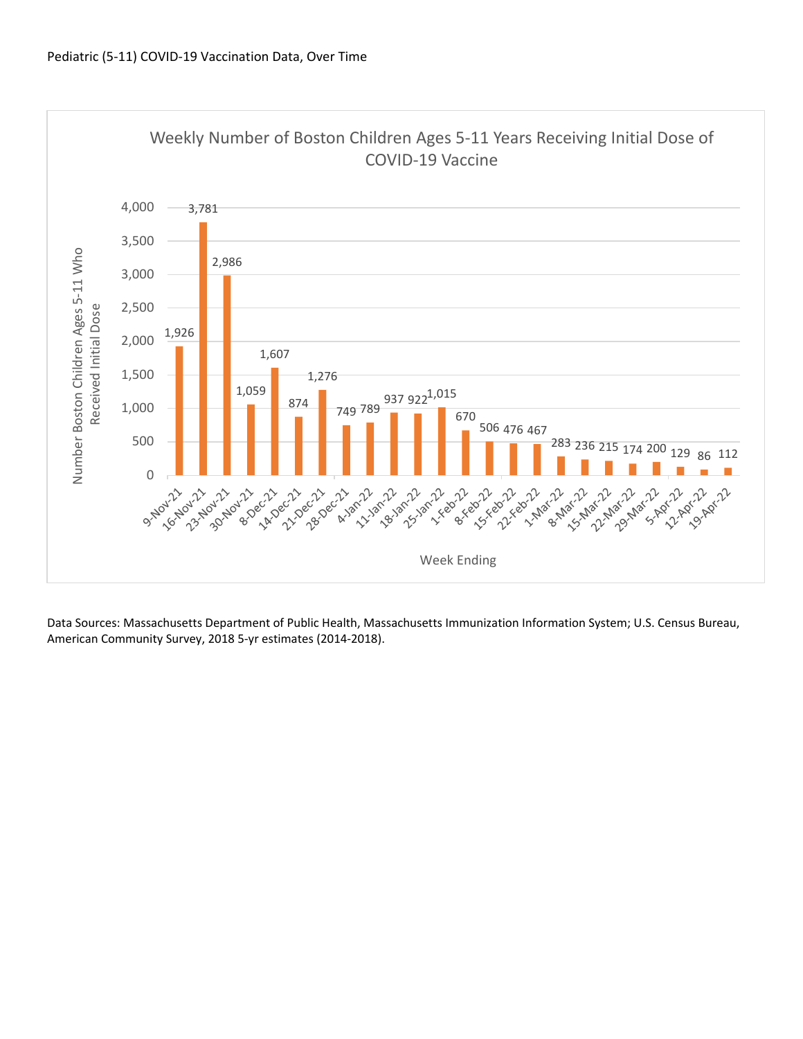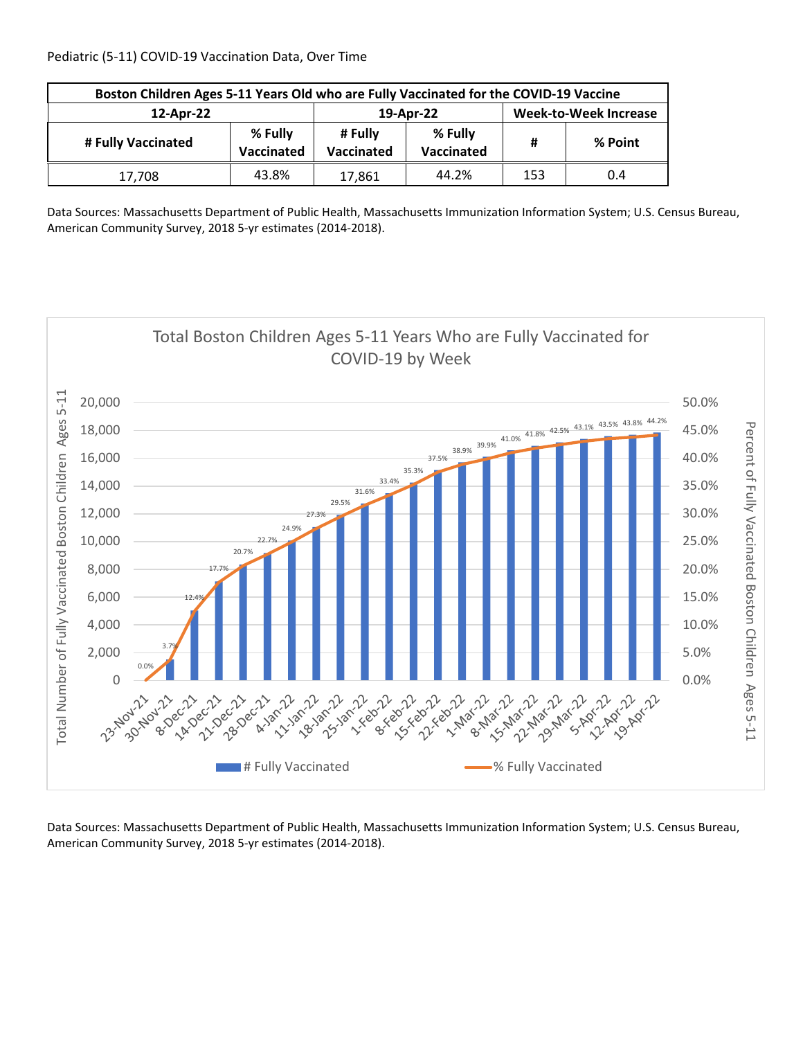| Boston Children Ages 5-11 Years Old who are Fully Vaccinated for the COVID-19 Vaccine |                              |           |                              |     |         |  |  |
|---------------------------------------------------------------------------------------|------------------------------|-----------|------------------------------|-----|---------|--|--|
| 12-Apr-22                                                                             |                              | 19-Apr-22 | <b>Week-to-Week Increase</b> |     |         |  |  |
| # Fully Vaccinated                                                                    | % Fully<br><b>Vaccinated</b> |           | % Fully<br>Vaccinated        | #   | % Point |  |  |
| 17.708                                                                                | 43.8%                        | 17,861    | 44.2%                        | 153 | 0.4     |  |  |

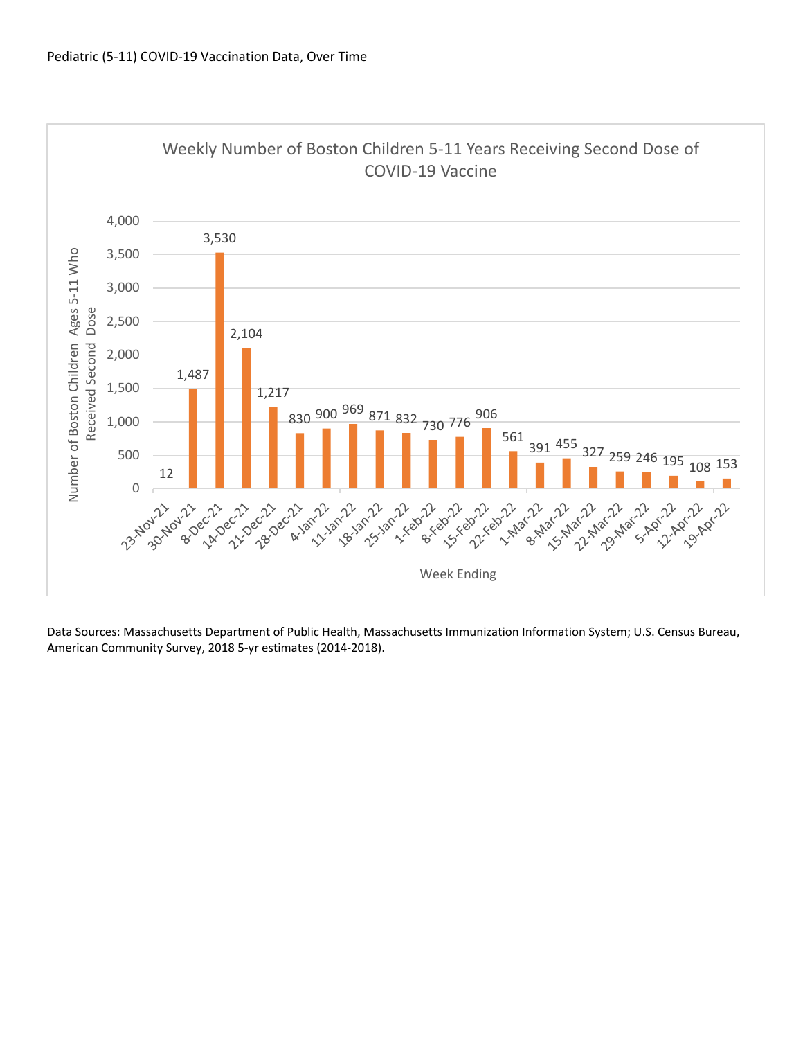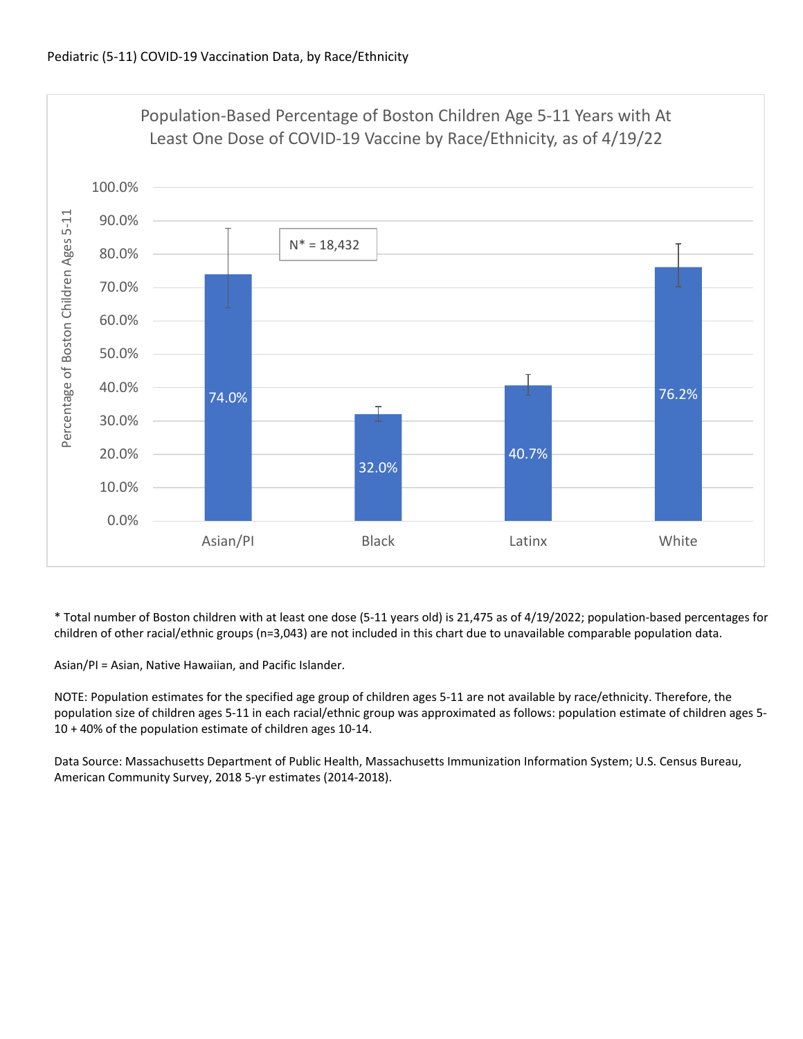

\* Total number of Boston children with at least one dose (5‐11 years old) is 21,475 as of 4/19/2022; population‐based percentages for children of other racial/ethnic groups (n=3,043) are not included in this chart due to unavailable comparable population data.

Asian/PI = Asian, Native Hawaiian, and Pacific Islander.

NOTE: Population estimates for the specified age group of children ages 5‐11 are not available by race/ethnicity. Therefore, the population size of children ages 5‐11 in each racial/ethnic group was approximated as follows: population estimate of children ages 5‐ 10 + 40% of the population estimate of children ages 10‐14.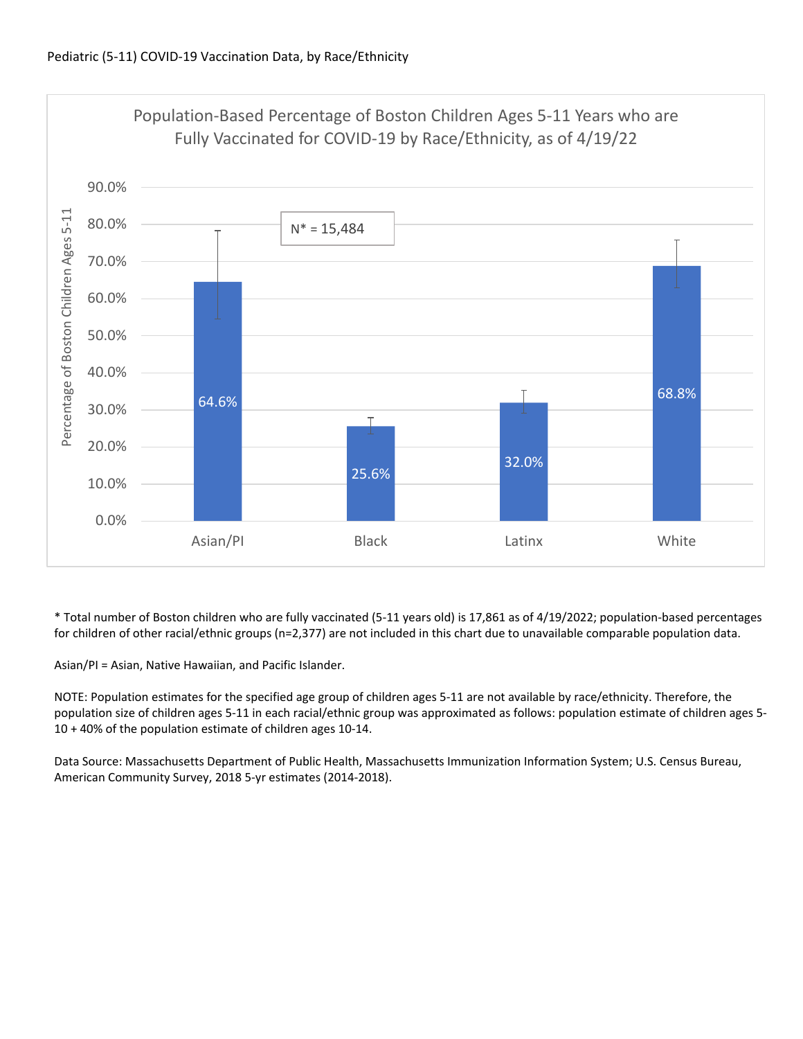

\* Total number of Boston children who are fully vaccinated (5‐11 years old) is 17,861 as of 4/19/2022; population‐based percentages for children of other racial/ethnic groups (n=2,377) are not included in this chart due to unavailable comparable population data.

Asian/PI = Asian, Native Hawaiian, and Pacific Islander.

NOTE: Population estimates for the specified age group of children ages 5‐11 are not available by race/ethnicity. Therefore, the population size of children ages 5‐11 in each racial/ethnic group was approximated as follows: population estimate of children ages 5‐ 10 + 40% of the population estimate of children ages 10‐14.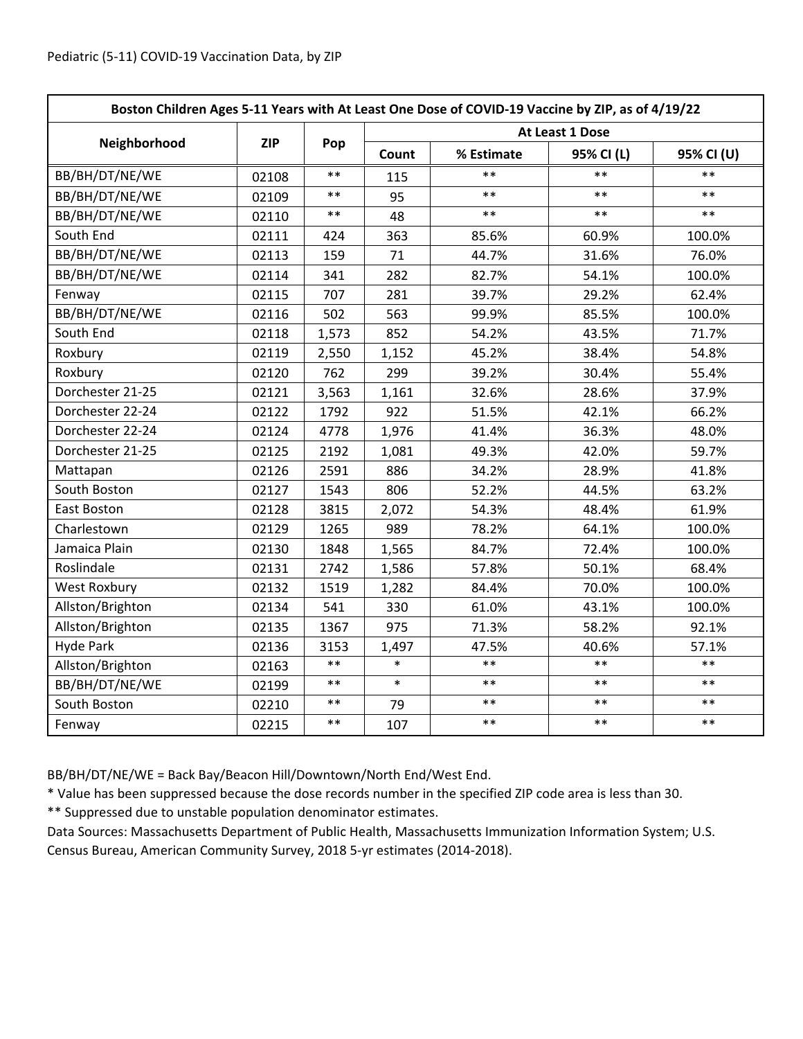| Boston Children Ages 5-11 Years with At Least One Dose of COVID-19 Vaccine by ZIP, as of 4/19/22 |            |            |                 |            |            |            |  |
|--------------------------------------------------------------------------------------------------|------------|------------|-----------------|------------|------------|------------|--|
|                                                                                                  | <b>ZIP</b> | Pop        | At Least 1 Dose |            |            |            |  |
| Neighborhood                                                                                     |            |            | Count           | % Estimate | 95% CI (L) | 95% CI (U) |  |
| BB/BH/DT/NE/WE                                                                                   | 02108      | $**$       | 115             | **         | $**$       | $**$       |  |
| BB/BH/DT/NE/WE                                                                                   | 02109      | $\ast\ast$ | 95              | $***$      | $***$      | $***$      |  |
| BB/BH/DT/NE/WE                                                                                   | 02110      | $***$      | 48              | $***$      | $***$      | $***$      |  |
| South End                                                                                        | 02111      | 424        | 363             | 85.6%      | 60.9%      | 100.0%     |  |
| BB/BH/DT/NE/WE                                                                                   | 02113      | 159        | 71              | 44.7%      | 31.6%      | 76.0%      |  |
| BB/BH/DT/NE/WE                                                                                   | 02114      | 341        | 282             | 82.7%      | 54.1%      | 100.0%     |  |
| Fenway                                                                                           | 02115      | 707        | 281             | 39.7%      | 29.2%      | 62.4%      |  |
| BB/BH/DT/NE/WE                                                                                   | 02116      | 502        | 563             | 99.9%      | 85.5%      | 100.0%     |  |
| South End                                                                                        | 02118      | 1,573      | 852             | 54.2%      | 43.5%      | 71.7%      |  |
| Roxbury                                                                                          | 02119      | 2,550      | 1,152           | 45.2%      | 38.4%      | 54.8%      |  |
| Roxbury                                                                                          | 02120      | 762        | 299             | 39.2%      | 30.4%      | 55.4%      |  |
| Dorchester 21-25                                                                                 | 02121      | 3,563      | 1,161           | 32.6%      | 28.6%      | 37.9%      |  |
| Dorchester 22-24                                                                                 | 02122      | 1792       | 922             | 51.5%      | 42.1%      | 66.2%      |  |
| Dorchester 22-24                                                                                 | 02124      | 4778       | 1,976           | 41.4%      | 36.3%      | 48.0%      |  |
| Dorchester 21-25                                                                                 | 02125      | 2192       | 1,081           | 49.3%      | 42.0%      | 59.7%      |  |
| Mattapan                                                                                         | 02126      | 2591       | 886             | 34.2%      | 28.9%      | 41.8%      |  |
| South Boston                                                                                     | 02127      | 1543       | 806             | 52.2%      | 44.5%      | 63.2%      |  |
| East Boston                                                                                      | 02128      | 3815       | 2,072           | 54.3%      | 48.4%      | 61.9%      |  |
| Charlestown                                                                                      | 02129      | 1265       | 989             | 78.2%      | 64.1%      | 100.0%     |  |
| Jamaica Plain                                                                                    | 02130      | 1848       | 1,565           | 84.7%      | 72.4%      | 100.0%     |  |
| Roslindale                                                                                       | 02131      | 2742       | 1,586           | 57.8%      | 50.1%      | 68.4%      |  |
| <b>West Roxbury</b>                                                                              | 02132      | 1519       | 1,282           | 84.4%      | 70.0%      | 100.0%     |  |
| Allston/Brighton                                                                                 | 02134      | 541        | 330             | 61.0%      | 43.1%      | 100.0%     |  |
| Allston/Brighton                                                                                 | 02135      | 1367       | 975             | 71.3%      | 58.2%      | 92.1%      |  |
| <b>Hyde Park</b>                                                                                 | 02136      | 3153       | 1,497           | 47.5%      | 40.6%      | 57.1%      |  |
| Allston/Brighton                                                                                 | 02163      | $***$      | $\ast$          | $**$       | $* *$      | $***$      |  |
| BB/BH/DT/NE/WE                                                                                   | 02199      | $***$      | $\ast$          | $**$       | $***$      | $**$       |  |
| South Boston                                                                                     | 02210      | $\ast\ast$ | 79              | $***$      | $***$      | $***$      |  |
| Fenway                                                                                           | 02215      | $\ast\ast$ | 107             | $***$      | $***$      | $***$      |  |

BB/BH/DT/NE/WE = Back Bay/Beacon Hill/Downtown/North End/West End.

\* Value has been suppressed because the dose records number in the specified ZIP code area is less than 30.

\*\* Suppressed due to unstable population denominator estimates.